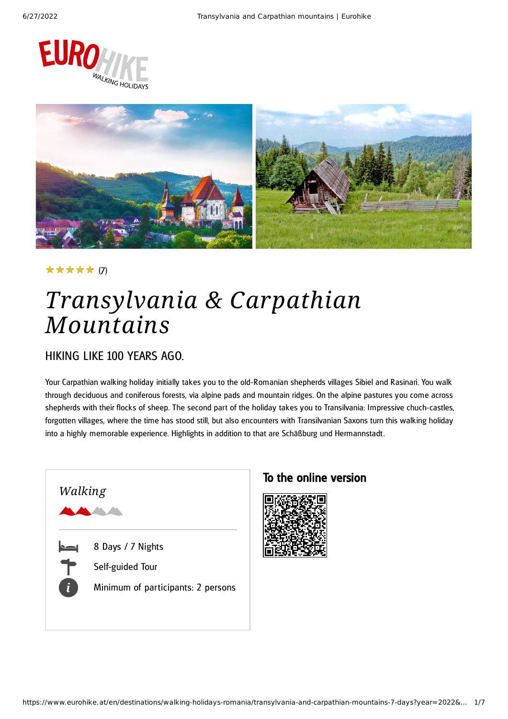



#### (7) ★★★★★

# *Transylvania & Carpathian Mountains*

### HIKING LIKE 100 YEARS AGO.

Your Carpathian walking holiday initially takes you to the old-Romanian shepherds villages Sibiel and Rasinari. You walk through deciduous and coniferous forests, via alpine pads and mountain ridges. On the alpine pastures you come across shepherds with their flocks of sheep. The second part of the holiday takes you to Transilvania: Impressive chuch-castles, forgotten villages, where the time has stood still, but also encounters with Transilvanian Saxons turn this walking holiday into a highly memorable experience. Highlights in addition to that are Schäßburg und Hermannstadt.



### To the online version

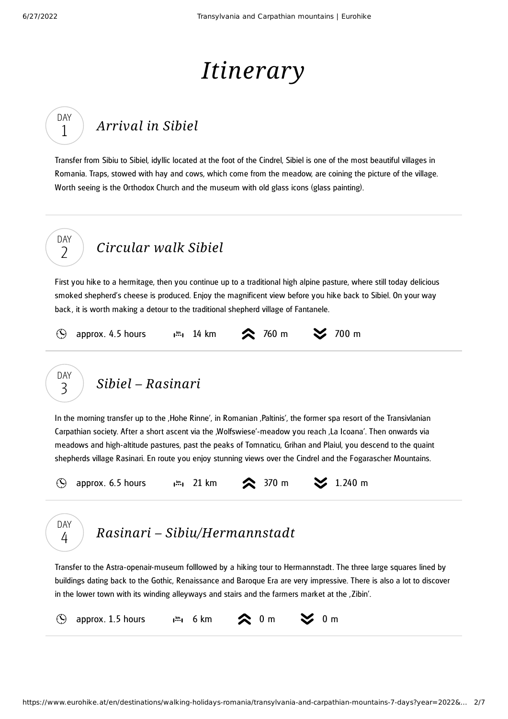DAY 1

# *Itinerary*

## *[Arrival](#page-1-0) in Sibiel*

<span id="page-1-0"></span>Transfer from Sibiu to Sibiel, idyllic located at the foot of the Cindrel, Sibiel is one of the most beautiful villages in Romania. Traps, stowed with hay and cows, which come from the meadow, are coining the picture of the village. Worth seeing is the Orthodox Church and the museum with old glass icons (glass painting).



<span id="page-1-1"></span>First you hike to a hermitage, then you continue up to a traditional high alpine pasture, where still today delicious smoked shepherd's cheese is produced. Enjoy the magnificent view before you hike back to Sibiel. On your way back , it is worth making a detour to the traditional shepherd village of Fantanele.

 $\mathcal{O}$ 

approx. 4.5 hours  $\lim_{n \to \infty} 14 \text{ km}$   $\approx$  760 m  $\approx$  700 m

*Sibiel – [Rasinari](#page-1-2)* DAY 3

<span id="page-1-2"></span>In the morning transfer up to the 'Hohe Rinne', in Romanian 'Paltinis', the former spa resort of the Transivlanian Carpathian society. After a short ascent via the 'Wolfswiese'-meadow you reach 'La Icoana'. Then onwards via meadows and high-altitude pastures, past the peaks of Tomnaticu, Grihan and Plaiul, you descend to the quaint shepherds village Rasinari. En route you enjoy stunning views over the Cindrel and the Fogarascher Mountains.

approx. 6.5 hours  $\lim_{n \to \infty} 21 \text{ km}$  370 m  $\leq 1.240 \text{ m}$  $\mathcal{O}$ 



### *Rasinari – [Sibiu/Hermannstadt](#page-1-3)*

<span id="page-1-3"></span>Transfer to the Astra-openair-museum folllowed by a hiking tour to Hermannstadt. The three large squares lined by buildings dating back to the Gothic, Renaissance and Baroque Era are very impressive. There is also a lot to discover in the lower town with its winding alleyways and stairs and the farmers market at the . Zibin'.

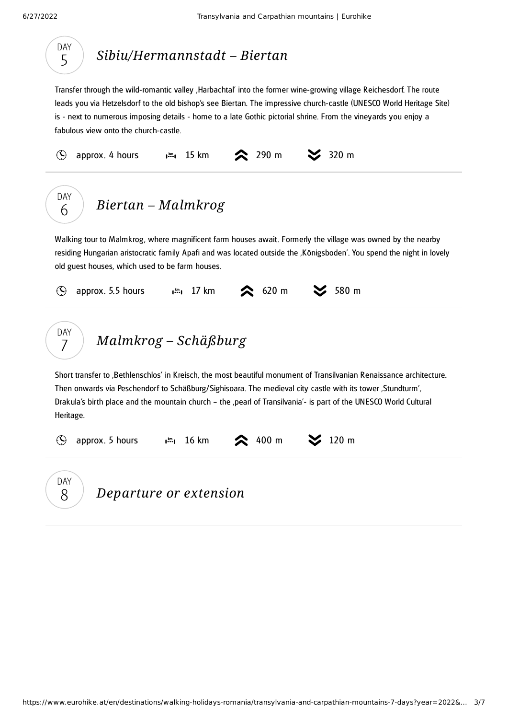<span id="page-2-2"></span><span id="page-2-1"></span><span id="page-2-0"></span>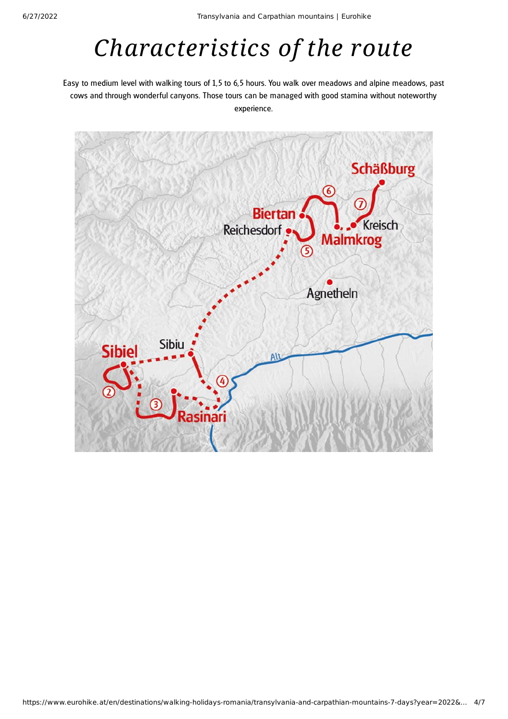# *Characteristics of the route*

Easy to medium level with walking tours of 1,5 to 6,5 hours. You walk over meadows and alpine meadows, past cows and through wonderful canyons. Those tours can be managed with good stamina without noteworthy experience.

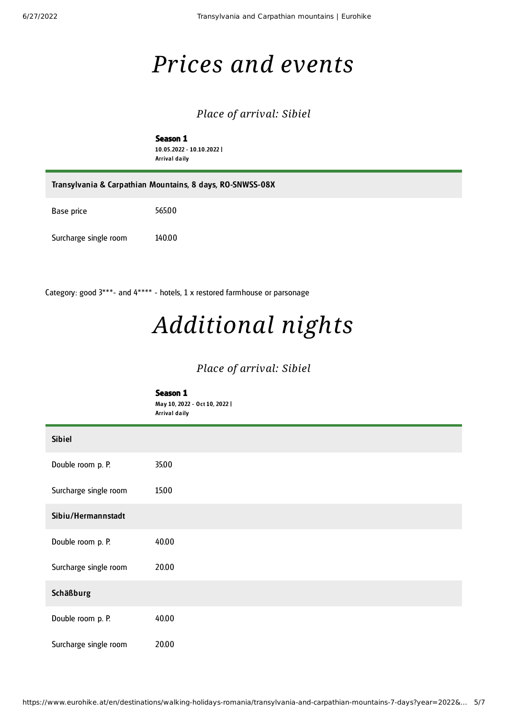# *Prices and events*

### *Place of arrival: Sibiel*

Season 1 10.05.2022 - 10.10.2022 | Arrival daily

| Transylvania & Carpathian Mountains, 8 days, RO-SNWSS-08X |        |  |
|-----------------------------------------------------------|--------|--|
| Base price                                                | 565.00 |  |
| Surcharge single room                                     | 140.00 |  |

Category: good 3\*\*\*- and 4\*\*\*\* - hotels, 1 x restored farmhouse or parsonage

# *Additional nights*

#### *Place of arrival: Sibiel*

|                       | Season 1<br>May 10, 2022 - Oct 10, 2022  <br>Arrival daily |
|-----------------------|------------------------------------------------------------|
| <b>Sibiel</b>         |                                                            |
| Double room p. P.     | 35.00                                                      |
| Surcharge single room | 15.00                                                      |
| Sibiu/Hermannstadt    |                                                            |
| Double room p. P.     | 40.00                                                      |
| Surcharge single room | 20.00                                                      |
| Schäßburg             |                                                            |
| Double room p. P.     | 40.00                                                      |
| Surcharge single room | 20.00                                                      |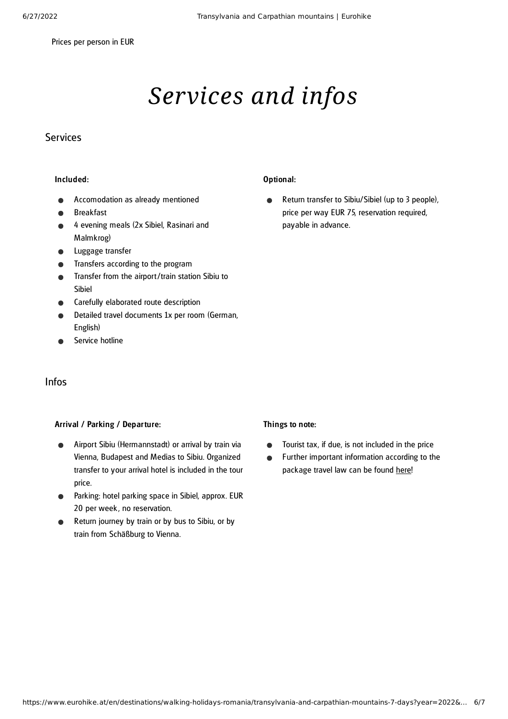Prices per person in EUR

# *Services and infos*

#### Services

#### Included:

- Accomodation as already mentioned
- Breakfast
- 4 evening meals (2x Sibiel, Rasinari and Malmkrog)
- Luggage transfer
- Transfers according to the program
- Transfer from the airport/train station Sibiu to Sibiel
- Carefully elaborated route description
- Detailed travel documents 1x per room (German, English)
- Service hotline

#### Infos

#### Arrival / Parking / Departure:

- Airport Sibiu (Hermannstadt) or arrival by train via Vienna, Budapest and Medias to Sibiu. Organized transfer to your arrival hotel is included in the tour price.
- Parking: hotel parking space in Sibiel, approx. EUR 20 per week, no reservation.
- Return journey by train or by bus to Sibiu, or by train from Schäßburg to Vienna.

#### Optional:

Return transfer to Sibiu/Sibiel (up to 3 people),  $\bullet$ price per way EUR 75, reservation required, payable in advance.

#### Things to note:

- Tourist tax, if due, is not included in the price  $\bullet$
- Further important information according to the  $\bullet$ package travel law can be found [here](https://www.eurohike.at/en/travel-information/before-the-tour/pci)!